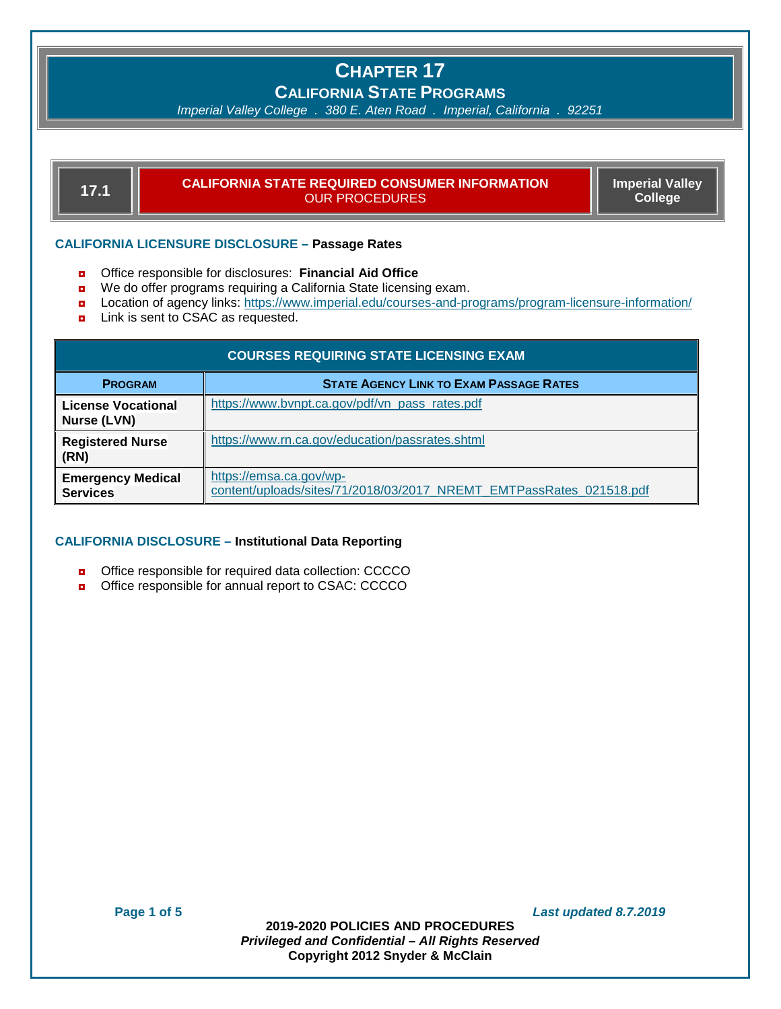# **CHAPTER 17**

**CALIFORNIA STATE PROGRAMS**

*Imperial Valley College . 380 E. Aten Road . Imperial, California . 92251*

## **17.1 CALIFORNIA STATE REQUIRED CONSUMER INFORMATION** OUR PROCEDURES

<u> 1989 - Johann Stein, marwolaethau a bh</u>

**Imperial Valley College**

## **CALIFORNIA LICENSURE DISCLOSURE – Passage Rates**

- ◘ Office responsible for disclosures: **Financial Aid Office**
- We do offer programs requiring a California State licensing exam.
- ◘ Location of agency links: <https://www.imperial.edu/courses-and-programs/program-licensure-information/>
- Link is sent to CSAC as requested.

| <b>COURSES REQUIRING STATE LICENSING EXAM</b> |                                                                                                |  |  |
|-----------------------------------------------|------------------------------------------------------------------------------------------------|--|--|
| <b>PROGRAM</b>                                | <b>STATE AGENCY LINK TO EXAM PASSAGE RATES</b>                                                 |  |  |
| <b>License Vocational</b><br>Nurse (LVN)      | https://www.bvnpt.ca.gov/pdf/vn_pass_rates.pdf                                                 |  |  |
| <b>Registered Nurse</b><br>(RN)               | https://www.rn.ca.gov/education/passrates.shtml                                                |  |  |
| <b>Emergency Medical</b><br><b>Services</b>   | https://emsa.ca.gov/wp-<br>content/uploads/sites/71/2018/03/2017 NREMT EMTPassRates 021518.pdf |  |  |

## **CALIFORNIA DISCLOSURE – Institutional Data Reporting**

- ◘ Office responsible for required data collection: CCCCO
- ◘ Office responsible for annual report to CSAC: CCCCO

**Page 1 of 5** *Last updated 8.7.2019*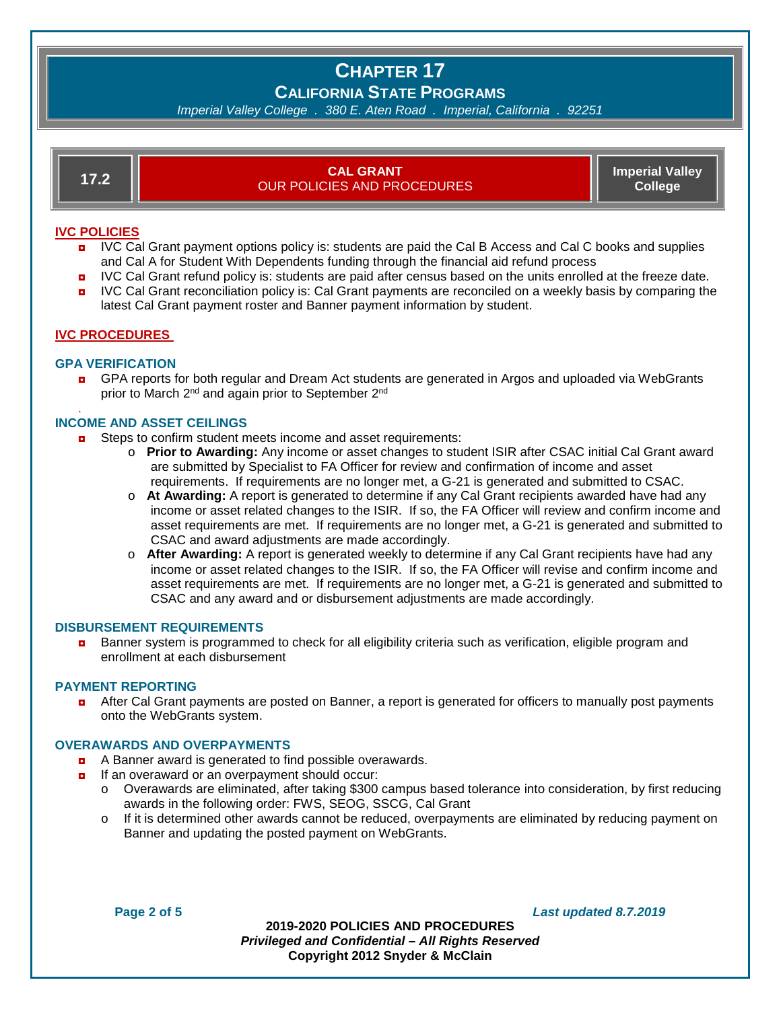## **CHAPTER 17 CALIFORNIA STATE PROGRAMS**

*Imperial Valley College . 380 E. Aten Road . Imperial, California . 92251*

# **17.2 CAL GRANT** OUR POLICIES AND PROCEDURES

**Imperial Valley College**

## **IVC POLICIES**

- **D** IVC Cal Grant payment options policy is: students are paid the Cal B Access and Cal C books and supplies and Cal A for Student With Dependents funding through the financial aid refund process
- **D** IVC Cal Grant refund policy is: students are paid after census based on the units enrolled at the freeze date.
- ◘ IVC Cal Grant reconciliation policy is: Cal Grant payments are reconciled on a weekly basis by comparing the latest Cal Grant payment roster and Banner payment information by student.

## **IVC PROCEDURES**

## **GPA VERIFICATION**

◘ GPA reports for both regular and Dream Act students are generated in Argos and uploaded via WebGrants prior to March 2<sup>nd</sup> and again prior to September 2<sup>nd</sup>

#### . **INCOME AND ASSET CEILINGS**

- Steps to confirm student meets income and asset requirements:
	- o **Prior to Awarding:** Any income or asset changes to student ISIR after CSAC initial Cal Grant award are submitted by Specialist to FA Officer for review and confirmation of income and asset requirements. If requirements are no longer met, a G-21 is generated and submitted to CSAC.
	- o **At Awarding:** A report is generated to determine if any Cal Grant recipients awarded have had any income or asset related changes to the ISIR. If so, the FA Officer will review and confirm income and asset requirements are met. If requirements are no longer met, a G-21 is generated and submitted to CSAC and award adjustments are made accordingly.
	- o **After Awarding:** A report is generated weekly to determine if any Cal Grant recipients have had any income or asset related changes to the ISIR. If so, the FA Officer will revise and confirm income and asset requirements are met. If requirements are no longer met, a G-21 is generated and submitted to CSAC and any award and or disbursement adjustments are made accordingly.

## **DISBURSEMENT REQUIREMENTS**

**Banner system is programmed to check for all eligibility criteria such as verification, eligible program and** enrollment at each disbursement

## **PAYMENT REPORTING**

**D** After Cal Grant payments are posted on Banner, a report is generated for officers to manually post payments onto the WebGrants system.

## **OVERAWARDS AND OVERPAYMENTS**

- ◘ A Banner award is generated to find possible overawards.
- **n** If an overaward or an overpayment should occur:
	- o Overawards are eliminated, after taking \$300 campus based tolerance into consideration, by first reducing awards in the following order: FWS, SEOG, SSCG, Cal Grant
	- o If it is determined other awards cannot be reduced, overpayments are eliminated by reducing payment on Banner and updating the posted payment on WebGrants.

**Page 2 of 5** *Last updated 8.7.2019*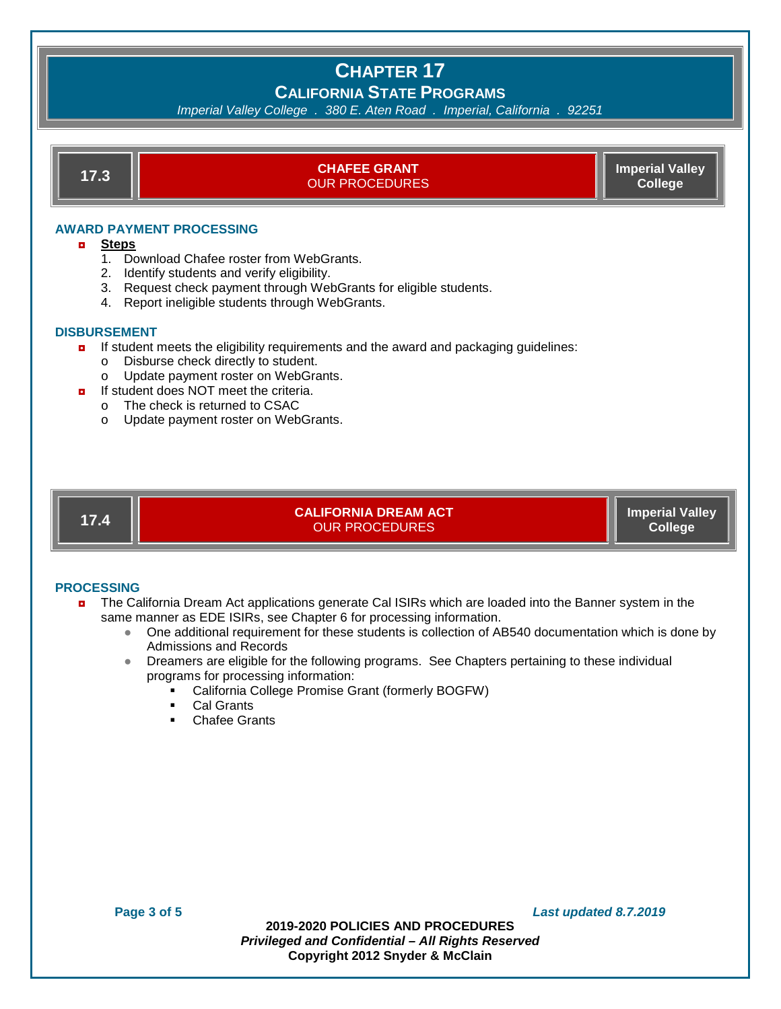## **CHAPTER 17 CALIFORNIA STATE PROGRAMS**

## *Imperial Valley College . 380 E. Aten Road . Imperial, California . 92251*



- 2. Identify students and verify eligibility.
- 3. Request check payment through WebGrants for eligible students.
- 4. Report ineligible students through WebGrants.

## **DISBURSEMENT**

- **D** If student meets the eligibility requirements and the award and packaging guidelines:
	- Disburse check directly to student.<br>○ Update payment roster on WebGra
	- Update payment roster on WebGrants.
- $\blacksquare$  If student does NOT meet the criteria.
	- o The check is returned to CSAC
	- o Update payment roster on WebGrants.



**17.4 CALIFORNIA DREAM ACT** OUR PROCEDURES

**Imperial Valley College**

## **PROCESSING**

- ◘ The California Dream Act applications generate Cal ISIRs which are loaded into the Banner system in the same manner as EDE ISIRs, see Chapter 6 for processing information.
	- One additional requirement for these students is collection of AB540 documentation which is done by Admissions and Records
	- Dreamers are eligible for the following programs. See Chapters pertaining to these individual programs for processing information:
		- California College Promise Grant (formerly BOGFW)
		- **Cal Grants**
		- Chafee Grants

**Page 3 of 5** *Last updated 8.7.2019*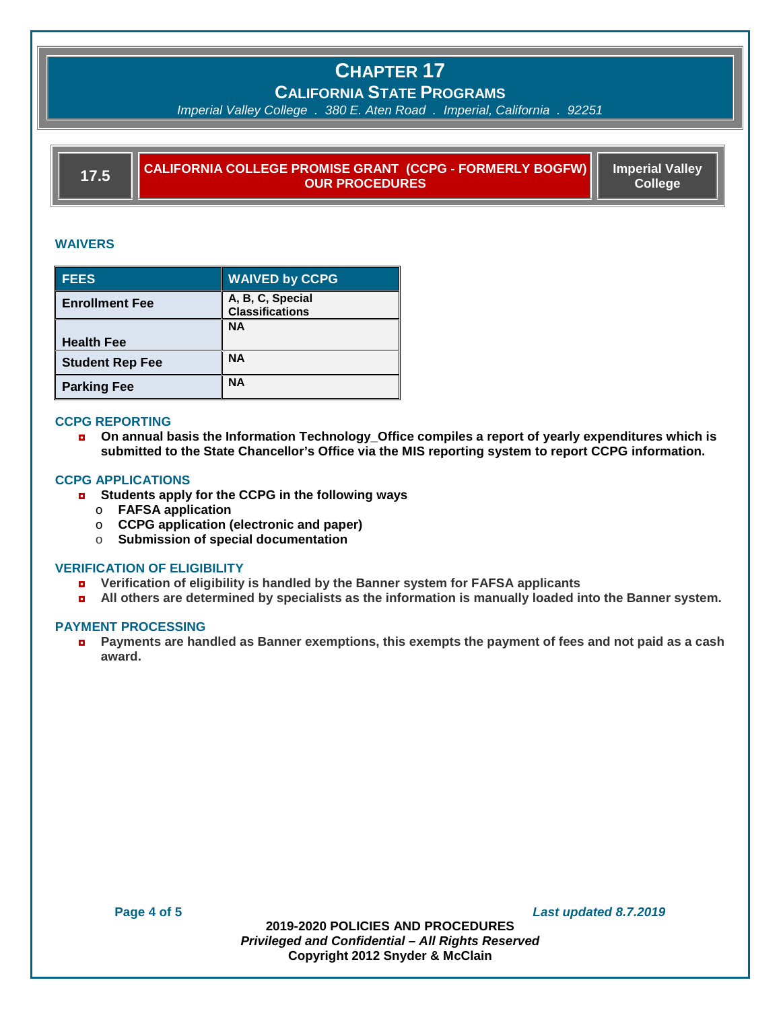# **CHAPTER 17**

## **CALIFORNIA STATE PROGRAMS**

*Imperial Valley College . 380 E. Aten Road . Imperial, California . 92251*

**17.5 CALIFORNIA COLLEGE PROMISE GRANT (CCPG - FORMERLY BOGFW) OUR PROCEDURES**

**Imperial Valley College**

## **WAIVERS**

| <b>FEES</b>            | <b>WAIVED by CCPG</b>                      |
|------------------------|--------------------------------------------|
| <b>Enrollment Fee</b>  | A, B, C, Special<br><b>Classifications</b> |
|                        | <b>NA</b>                                  |
| <b>Health Fee</b>      |                                            |
| <b>Student Rep Fee</b> | <b>NA</b>                                  |
| <b>Parking Fee</b>     | <b>NA</b>                                  |

## **CCPG REPORTING**

◘ **On annual basis the Information Technology\_Office compiles a report of yearly expenditures which is submitted to the State Chancellor's Office via the MIS reporting system to report CCPG information.**

## **CCPG APPLICATIONS**

- ◘ **Students apply for the CCPG in the following ways**
	- o **FAFSA application**
	- o **CCPG application (electronic and paper)**
	- o **Submission of special documentation**

## **VERIFICATION OF ELIGIBILITY**

- ◘ **Verification of eligibility is handled by the Banner system for FAFSA applicants**
- ◘ **All others are determined by specialists as the information is manually loaded into the Banner system.**

## **PAYMENT PROCESSING**

◘ **Payments are handled as Banner exemptions, this exempts the payment of fees and not paid as a cash award.**

**Page 4 of 5** *Last updated 8.7.2019*